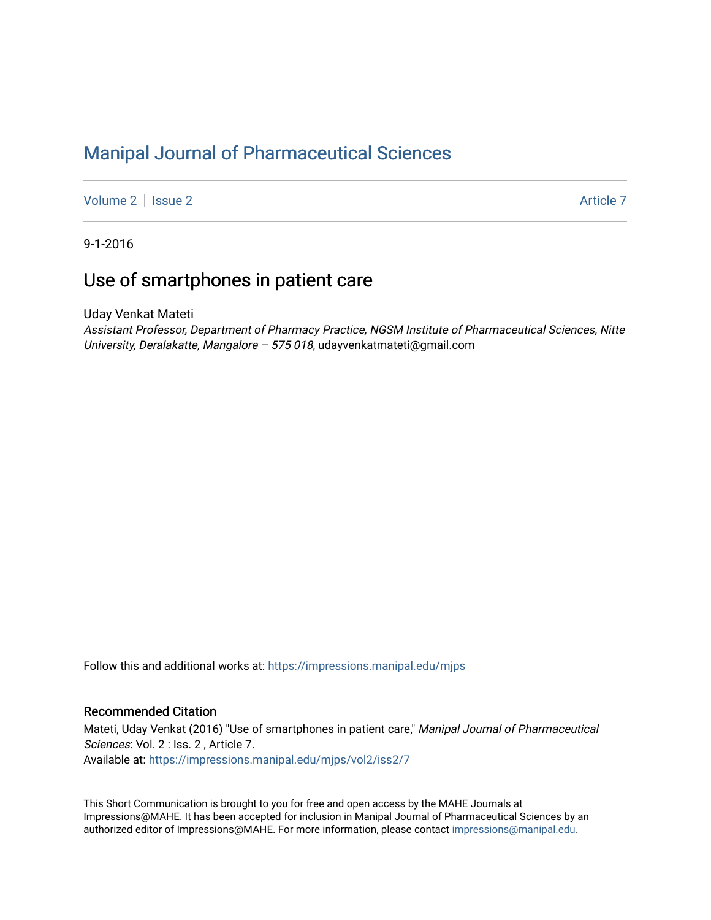# [Manipal Journal of Pharmaceutical Sciences](https://impressions.manipal.edu/mjps)

[Volume 2](https://impressions.manipal.edu/mjps/vol2) | [Issue 2](https://impressions.manipal.edu/mjps/vol2/iss2) Article 7

9-1-2016

# Use of smartphones in patient care

Uday Venkat Mateti

Assistant Professor, Department of Pharmacy Practice, NGSM Institute of Pharmaceutical Sciences, Nitte University, Deralakatte, Mangalore - 575 018, udayvenkatmateti@gmail.com

Follow this and additional works at: [https://impressions.manipal.edu/mjps](https://impressions.manipal.edu/mjps?utm_source=impressions.manipal.edu%2Fmjps%2Fvol2%2Fiss2%2F7&utm_medium=PDF&utm_campaign=PDFCoverPages)

#### Recommended Citation

Mateti, Uday Venkat (2016) "Use of smartphones in patient care," Manipal Journal of Pharmaceutical Sciences: Vol. 2 : Iss. 2 , Article 7. Available at: [https://impressions.manipal.edu/mjps/vol2/iss2/7](https://impressions.manipal.edu/mjps/vol2/iss2/7?utm_source=impressions.manipal.edu%2Fmjps%2Fvol2%2Fiss2%2F7&utm_medium=PDF&utm_campaign=PDFCoverPages)

This Short Communication is brought to you for free and open access by the MAHE Journals at Impressions@MAHE. It has been accepted for inclusion in Manipal Journal of Pharmaceutical Sciences by an authorized editor of Impressions@MAHE. For more information, please contact [impressions@manipal.edu.](mailto:impressions@manipal.edu)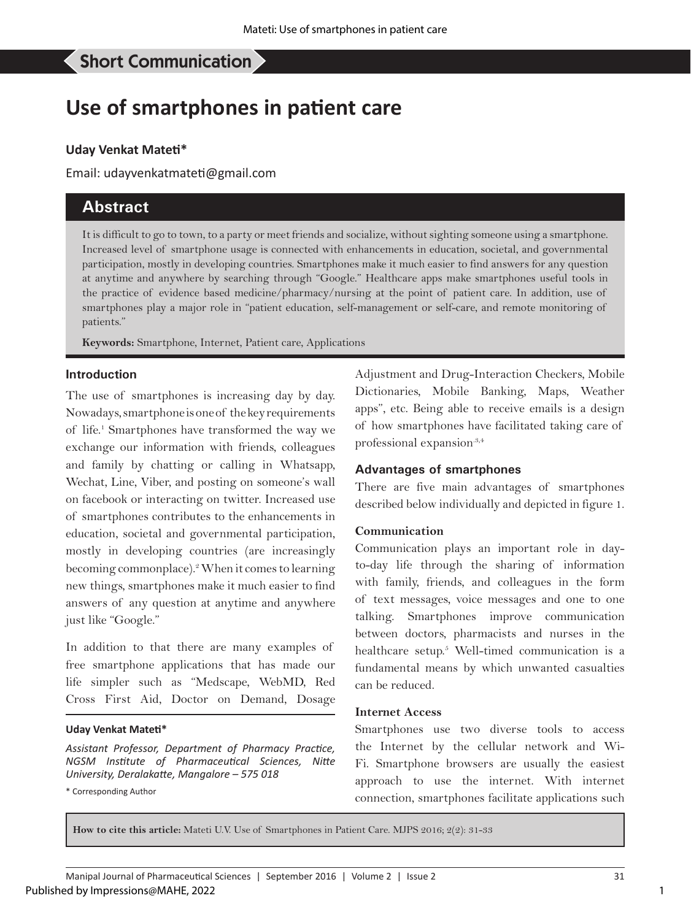# **Use of smartphones in patient care**

#### **Uday Venkat Mateti\***

Email: udayvenkatmateti@gmail.com

# **Abstract**

It is difficult to go to town, to a party or meet friends and socialize, without sighting someone using a smartphone. Increased level of smartphone usage is connected with enhancements in education, societal, and governmental participation, mostly in developing countries. Smartphones make it much easier to find answers for any question at anytime and anywhere by searching through "Google." Healthcare apps make smartphones useful tools in the practice of evidence based medicine/pharmacy/nursing at the point of patient care. In addition, use of smartphones play a major role in "patient education, self-management or self-care, and remote monitoring of patients."

**Keywords:** Smartphone, Internet, Patient care, Applications

#### **Introduction**

The use of smartphones is increasing day by day. Nowadays, smartphone is one of the key requirements of life.<sup>1</sup> Smartphones have transformed the way we exchange our information with friends, colleagues and family by chatting or calling in Whatsapp, Wechat, Line, Viber, and posting on someone's wall on facebook or interacting on twitter. Increased use of smartphones contributes to the enhancements in education, societal and governmental participation, mostly in developing countries (are increasingly becoming commonplace).<sup>2</sup> When it comes to learning new things, smartphones make it much easier to find answers of any question at anytime and anywhere just like "Google."

In addition to that there are many examples of free smartphone applications that has made our life simpler such as "Medscape, WebMD, Red Cross First Aid, Doctor on Demand, Dosage

#### **Uday Venkat Mateti\***

*Assistant Professor, Department of Pharmacy Practice, NGSM Institute of Pharmaceutical Sciences, Nitte University, Deralakatte, Mangalore – 575 018*

\* Corresponding Author

Adjustment and Drug-Interaction Checkers, Mobile Dictionaries, Mobile Banking, Maps, Weather apps", etc. Being able to receive emails is a design of how smartphones have facilitated taking care of professional expansion.<sup>3,4</sup>

#### **Advantages of smartphones**

There are five main advantages of smartphones described below individually and depicted in figure 1.

#### **Communication**

Communication plays an important role in dayto-day life through the sharing of information with family, friends, and colleagues in the form of text messages, voice messages and one to one talking. Smartphones improve communication between doctors, pharmacists and nurses in the healthcare setup.<sup>5</sup> Well-timed communication is a fundamental means by which unwanted casualties can be reduced.

#### **Internet Access**

Smartphones use two diverse tools to access the Internet by the cellular network and Wi-Fi. Smartphone browsers are usually the easiest approach to use the internet. With internet connection, smartphones facilitate applications such

**How to cite this article:** Mateti U.V. Use of Smartphones in Patient Care. MJPS 2016; 2(2): 31-33

1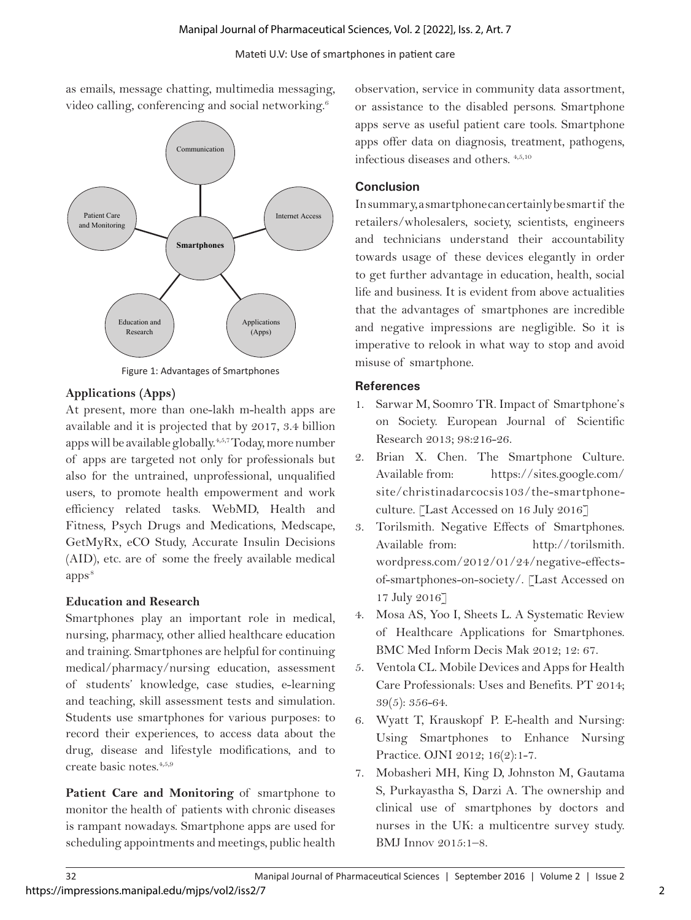#### Mateti U.V: Use of smartphones in patient care

as emails, message chatting, multimedia messaging, video calling, conferencing and social networking.<sup>6</sup>



Figure 1: Advantages of Smartphones

# **Applications (Apps)**

At present, more than one-lakh m-health apps are available and it is projected that by 2017, 3.4 billion apps will be available globally.4,5,7 Today, more number of apps are targeted not only for professionals but also for the untrained, unprofessional, unqualified users, to promote health empowerment and work efficiency related tasks. WebMD, Health and Fitness, Psych Drugs and Medications, Medscape, GetMyRx, eCO Study, Accurate Insulin Decisions (AID), etc. are of some the freely available medical apps.8

# **Education and Research**

Smartphones play an important role in medical, nursing, pharmacy, other allied healthcare education and training. Smartphones are helpful for continuing medical/pharmacy/nursing education, assessment of students' knowledge, case studies, e-learning and teaching, skill assessment tests and simulation. Students use smartphones for various purposes: to record their experiences, to access data about the drug, disease and lifestyle modifications, and to create basic notes.4,5,9

**Patient Care and Monitoring** of smartphone to monitor the health of patients with chronic diseases is rampant nowadays. Smartphone apps are used for scheduling appointments and meetings, public health observation, service in community data assortment, or assistance to the disabled persons. Smartphone apps serve as useful patient care tools. Smartphone apps offer data on diagnosis, treatment, pathogens, infectious diseases and others. 4,5,10

# **Conclusion**

In summary, a smartphone can certainly be smart if the retailers/wholesalers, society, scientists, engineers and technicians understand their accountability towards usage of these devices elegantly in order to get further advantage in education, health, social life and business. It is evident from above actualities that the advantages of smartphones are incredible and negative impressions are negligible. So it is imperative to relook in what way to stop and avoid misuse of smartphone.

## **References**

- 1. Sarwar M, Soomro TR. Impact of Smartphone's on Society. European Journal of Scientific Research 2013; 98:216-26.
- 2. Brian X. Chen. The Smartphone Culture. Available from: https://sites.google.com/ site/christinadarcocsis103/the-smartphoneculture. [Last Accessed on 16 July 2016]
- 3. Torilsmith. Negative Effects of Smartphones. Available from: http://torilsmith. wordpress.com/2012/01/24/negative-effectsof-smartphones-on-society/. [Last Accessed on 17 July 2016]
- 4. Mosa AS, Yoo I, Sheets L. A Systematic Review of Healthcare Applications for Smartphones. BMC Med Inform Decis Mak 2012; 12: 67.
- 5. Ventola CL. Mobile Devices and Apps for Health Care Professionals: Uses and Benefits. PT 2014; 39(5): 356-64.
- 6. Wyatt T, Krauskopf P. E-health and Nursing: Using Smartphones to Enhance Nursing Practice. OJNI 2012; 16(2):1-7.
- 7. Mobasheri MH, King D, Johnston M, Gautama S, Purkayastha S, Darzi A. The ownership and clinical use of smartphones by doctors and nurses in the UK: a multicentre survey study. BMJ Innov 2015:1–8.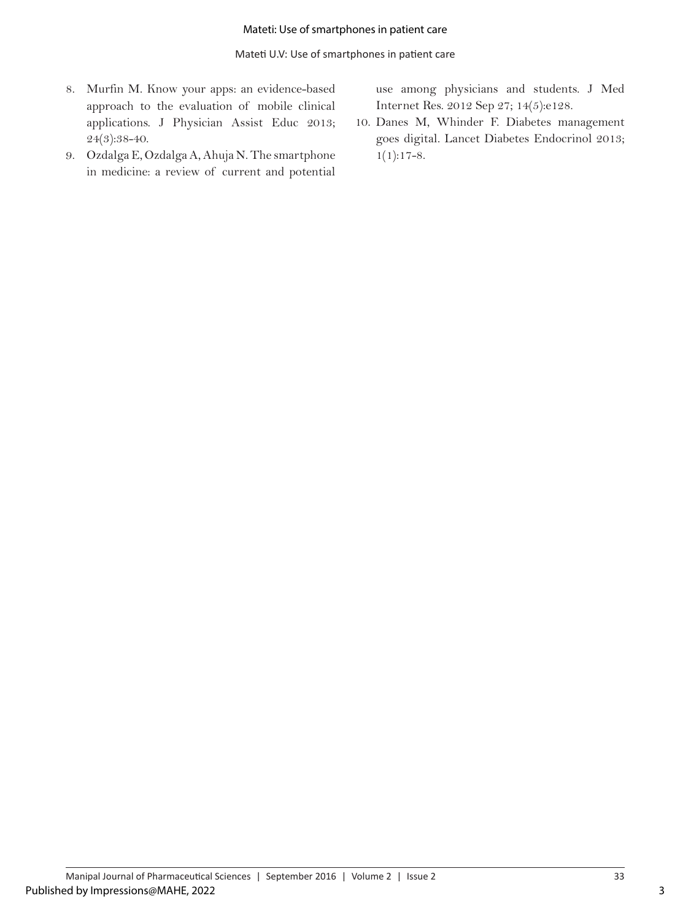- 8. Murfin M. Know your apps: an evidence-based approach to the evaluation of mobile clinical applications. J Physician Assist Educ 2013; 24(3):38-40.
- 9. Ozdalga E, Ozdalga A, Ahuja N. The smartphone in medicine: a review of current and potential

use among physicians and students. J Med Internet Res. 2012 Sep 27; 14(5):e128.

10. Danes M, Whinder F. Diabetes management goes digital. Lancet Diabetes Endocrinol 2013;  $1(1):17-8.$ 

3